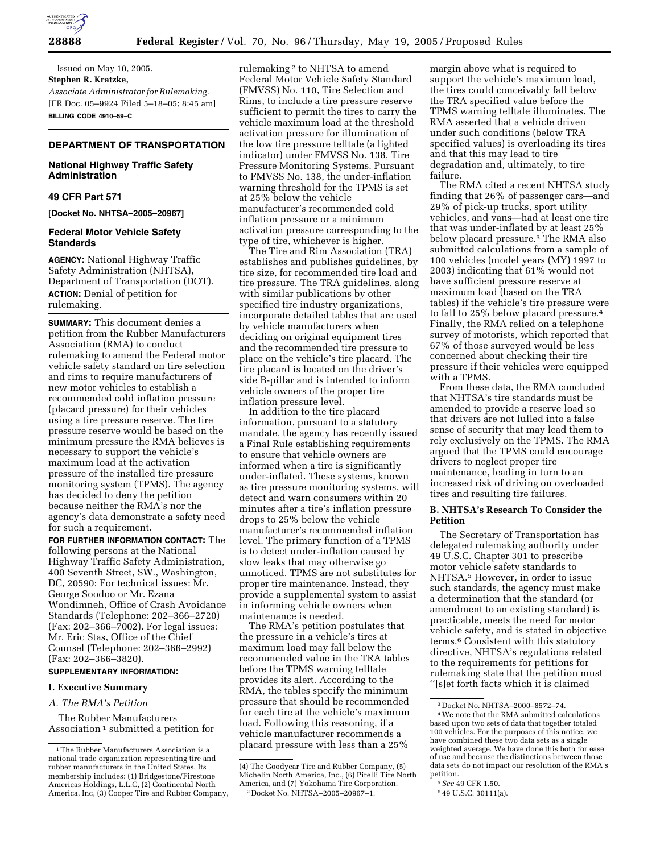

Issued on May 10, 2005. **Stephen R. Kratzke,**  *Associate Administrator for Rulemaking.* [FR Doc. 05–9924 Filed 5–18–05; 8:45 am] **BILLING CODE 4910–59–C**

# **DEPARTMENT OF TRANSPORTATION**

# **National Highway Traffic Safety Administration**

## **49 CFR Part 571**

**[Docket No. NHTSA–2005–20967]** 

## **Federal Motor Vehicle Safety Standards**

**AGENCY:** National Highway Traffic Safety Administration (NHTSA), Department of Transportation (DOT). **ACTION:** Denial of petition for rulemaking.

**SUMMARY:** This document denies a petition from the Rubber Manufacturers Association (RMA) to conduct rulemaking to amend the Federal motor vehicle safety standard on tire selection and rims to require manufacturers of new motor vehicles to establish a recommended cold inflation pressure (placard pressure) for their vehicles using a tire pressure reserve. The tire pressure reserve would be based on the minimum pressure the RMA believes is necessary to support the vehicle's maximum load at the activation pressure of the installed tire pressure monitoring system (TPMS). The agency has decided to deny the petition because neither the RMA's nor the agency's data demonstrate a safety need for such a requirement.

**FOR FURTHER INFORMATION CONTACT:** The following persons at the National Highway Traffic Safety Administration, 400 Seventh Street, SW., Washington, DC, 20590: For technical issues: Mr. George Soodoo or Mr. Ezana Wondimneh, Office of Crash Avoidance Standards (Telephone: 202–366–2720) (Fax: 202–366–7002). For legal issues: Mr. Eric Stas, Office of the Chief Counsel (Telephone: 202–366–2992) (Fax: 202–366–3820).

# **SUPPLEMENTARY INFORMATION:**

## **I. Executive Summary**

*A. The RMA's Petition* 

The Rubber Manufacturers Association<sup>1</sup> submitted a petition for rulemaking 2 to NHTSA to amend Federal Motor Vehicle Safety Standard (FMVSS) No. 110, Tire Selection and Rims, to include a tire pressure reserve sufficient to permit the tires to carry the vehicle maximum load at the threshold activation pressure for illumination of the low tire pressure telltale (a lighted indicator) under FMVSS No. 138, Tire Pressure Monitoring Systems. Pursuant to FMVSS No. 138, the under-inflation warning threshold for the TPMS is set at 25% below the vehicle manufacturer's recommended cold inflation pressure or a minimum activation pressure corresponding to the type of tire, whichever is higher.

The Tire and Rim Association (TRA) establishes and publishes guidelines, by tire size, for recommended tire load and tire pressure. The TRA guidelines, along with similar publications by other specified tire industry organizations, incorporate detailed tables that are used by vehicle manufacturers when deciding on original equipment tires and the recommended tire pressure to place on the vehicle's tire placard. The tire placard is located on the driver's side B-pillar and is intended to inform vehicle owners of the proper tire inflation pressure level.

In addition to the tire placard information, pursuant to a statutory mandate, the agency has recently issued a Final Rule establishing requirements to ensure that vehicle owners are informed when a tire is significantly under-inflated. These systems, known as tire pressure monitoring systems, will detect and warn consumers within 20 minutes after a tire's inflation pressure drops to 25% below the vehicle manufacturer's recommended inflation level. The primary function of a TPMS is to detect under-inflation caused by slow leaks that may otherwise go unnoticed. TPMS are not substitutes for proper tire maintenance. Instead, they provide a supplemental system to assist in informing vehicle owners when maintenance is needed.

The RMA's petition postulates that the pressure in a vehicle's tires at maximum load may fall below the recommended value in the TRA tables before the TPMS warning telltale provides its alert. According to the RMA, the tables specify the minimum pressure that should be recommended for each tire at the vehicle's maximum load. Following this reasoning, if a vehicle manufacturer recommends a placard pressure with less than a 25%

margin above what is required to support the vehicle's maximum load, the tires could conceivably fall below the TRA specified value before the TPMS warning telltale illuminates. The RMA asserted that a vehicle driven under such conditions (below TRA specified values) is overloading its tires and that this may lead to tire degradation and, ultimately, to tire failure.

The RMA cited a recent NHTSA study finding that 26% of passenger cars—and 29% of pick-up trucks, sport utility vehicles, and vans—had at least one tire that was under-inflated by at least 25% below placard pressure.3 The RMA also submitted calculations from a sample of 100 vehicles (model years (MY) 1997 to 2003) indicating that 61% would not have sufficient pressure reserve at maximum load (based on the TRA tables) if the vehicle's tire pressure were to fall to 25% below placard pressure.4 Finally, the RMA relied on a telephone survey of motorists, which reported that 67% of those surveyed would be less concerned about checking their tire pressure if their vehicles were equipped with a TPMS.

From these data, the RMA concluded that NHTSA's tire standards must be amended to provide a reserve load so that drivers are not lulled into a false sense of security that may lead them to rely exclusively on the TPMS. The RMA argued that the TPMS could encourage drivers to neglect proper tire maintenance, leading in turn to an increased risk of driving on overloaded tires and resulting tire failures.

## **B. NHTSA's Research To Consider the Petition**

The Secretary of Transportation has delegated rulemaking authority under 49 U.S.C. Chapter 301 to prescribe motor vehicle safety standards to NHTSA.5 However, in order to issue such standards, the agency must make a determination that the standard (or amendment to an existing standard) is practicable, meets the need for motor vehicle safety, and is stated in objective terms.6 Consistent with this statutory directive, NHTSA's regulations related to the requirements for petitions for rulemaking state that the petition must ''[s]et forth facts which it is claimed

5*See* 49 CFR 1.50.

<sup>&</sup>lt;sup>1</sup>The Rubber Manufacturers Association is a national trade organization representing tire and rubber manufacturers in the United States. Its membership includes: (1) Bridgestone/Firestone Americas Holdings, L.L.C, (2) Continental North America, Inc, (3) Cooper Tire and Rubber Company,

<sup>(4)</sup> The Goodyear Tire and Rubber Company, (5) Michelin North America, Inc., (6) Pirelli Tire North America, and (7) Yokohama Tire Corporation. 2 Docket No. NHTSA–2005–20967–1.

<sup>3</sup> Docket No. NHTSA–2000–8572–74.

<sup>4</sup>We note that the RMA submitted calculations based upon two sets of data that together totaled 100 vehicles. For the purposes of this notice, we have combined these two data sets as a single weighted average. We have done this both for ease of use and because the distinctions between those data sets do not impact our resolution of the RMA's petition.

<sup>6</sup> 49 U.S.C. 30111(a).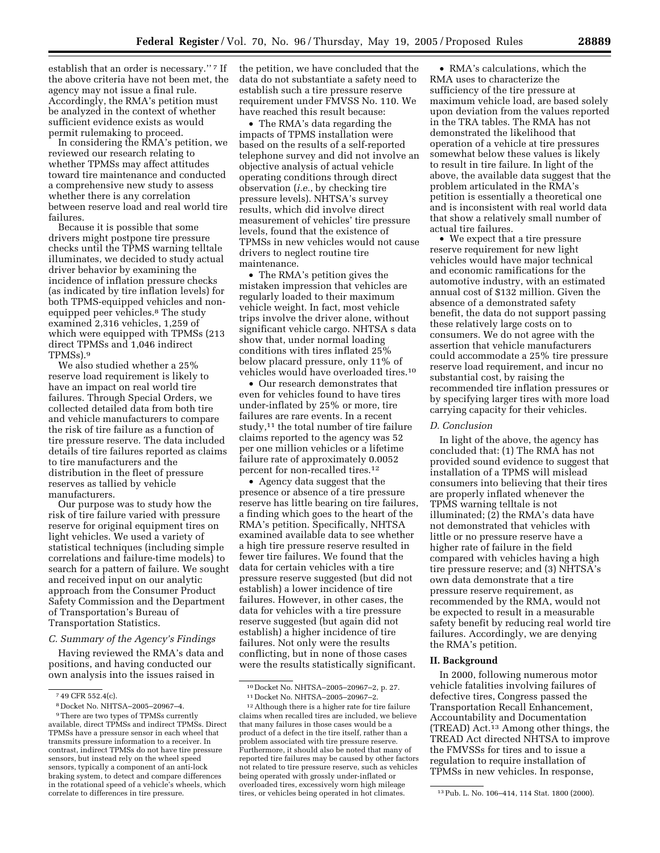establish that an order is necessary."<sup>7</sup> If the above criteria have not been met, the agency may not issue a final rule. Accordingly, the RMA's petition must be analyzed in the context of whether sufficient evidence exists as would permit rulemaking to proceed.

In considering the RMA's petition, we reviewed our research relating to whether TPMSs may affect attitudes toward tire maintenance and conducted a comprehensive new study to assess whether there is any correlation between reserve load and real world tire failures.

Because it is possible that some drivers might postpone tire pressure checks until the TPMS warning telltale illuminates, we decided to study actual driver behavior by examining the incidence of inflation pressure checks (as indicated by tire inflation levels) for both TPMS-equipped vehicles and nonequipped peer vehicles.8 The study examined 2,316 vehicles, 1,259 of which were equipped with TPMSs (213 direct TPMSs and 1,046 indirect TPMSs).9

We also studied whether a 25% reserve load requirement is likely to have an impact on real world tire failures. Through Special Orders, we collected detailed data from both tire and vehicle manufacturers to compare the risk of tire failure as a function of tire pressure reserve. The data included details of tire failures reported as claims to tire manufacturers and the distribution in the fleet of pressure reserves as tallied by vehicle manufacturers.

Our purpose was to study how the risk of tire failure varied with pressure reserve for original equipment tires on light vehicles. We used a variety of statistical techniques (including simple correlations and failure-time models) to search for a pattern of failure. We sought and received input on our analytic approach from the Consumer Product Safety Commission and the Department of Transportation's Bureau of Transportation Statistics.

## *C. Summary of the Agency's Findings*

Having reviewed the RMA's data and positions, and having conducted our own analysis into the issues raised in

the petition, we have concluded that the data do not substantiate a safety need to establish such a tire pressure reserve requirement under FMVSS No. 110. We have reached this result because:

• The RMA's data regarding the impacts of TPMS installation were based on the results of a self-reported telephone survey and did not involve an objective analysis of actual vehicle operating conditions through direct observation (*i.e.*, by checking tire pressure levels). NHTSA's survey results, which did involve direct measurement of vehicles' tire pressure levels, found that the existence of TPMSs in new vehicles would not cause drivers to neglect routine tire maintenance.

• The RMA's petition gives the mistaken impression that vehicles are regularly loaded to their maximum vehicle weight. In fact, most vehicle trips involve the driver alone, without significant vehicle cargo. NHTSA s data show that, under normal loading conditions with tires inflated 25% below placard pressure, only 11% of vehicles would have overloaded tires.10

• Our research demonstrates that even for vehicles found to have tires under-inflated by 25% or more, tire failures are rare events. In a recent study,11 the total number of tire failure claims reported to the agency was 52 per one million vehicles or a lifetime failure rate of approximately 0.0052 percent for non-recalled tires.12

• Agency data suggest that the presence or absence of a tire pressure reserve has little bearing on tire failures, a finding which goes to the heart of the RMA's petition. Specifically, NHTSA examined available data to see whether a high tire pressure reserve resulted in fewer tire failures. We found that the data for certain vehicles with a tire pressure reserve suggested (but did not establish) a lower incidence of tire failures. However, in other cases, the data for vehicles with a tire pressure reserve suggested (but again did not establish) a higher incidence of tire failures. Not only were the results conflicting, but in none of those cases were the results statistically significant.

• RMA's calculations, which the RMA uses to characterize the sufficiency of the tire pressure at maximum vehicle load, are based solely upon deviation from the values reported in the TRA tables. The RMA has not demonstrated the likelihood that operation of a vehicle at tire pressures somewhat below these values is likely to result in tire failure. In light of the above, the available data suggest that the problem articulated in the RMA's petition is essentially a theoretical one and is inconsistent with real world data that show a relatively small number of actual tire failures.

• We expect that a tire pressure reserve requirement for new light vehicles would have major technical and economic ramifications for the automotive industry, with an estimated annual cost of \$132 million. Given the absence of a demonstrated safety benefit, the data do not support passing these relatively large costs on to consumers. We do not agree with the assertion that vehicle manufacturers could accommodate a 25% tire pressure reserve load requirement, and incur no substantial cost, by raising the recommended tire inflation pressures or by specifying larger tires with more load carrying capacity for their vehicles.

### *D. Conclusion*

In light of the above, the agency has concluded that: (1) The RMA has not provided sound evidence to suggest that installation of a TPMS will mislead consumers into believing that their tires are properly inflated whenever the TPMS warning telltale is not illuminated;  $(2)$  the RMA's data have not demonstrated that vehicles with little or no pressure reserve have a higher rate of failure in the field compared with vehicles having a high tire pressure reserve; and (3) NHTSA's own data demonstrate that a tire pressure reserve requirement, as recommended by the RMA, would not be expected to result in a measurable safety benefit by reducing real world tire failures. Accordingly, we are denying the RMA's petition.

### **II. Background**

In 2000, following numerous motor vehicle fatalities involving failures of defective tires, Congress passed the Transportation Recall Enhancement, Accountability and Documentation (TREAD) Act.13 Among other things, the TREAD Act directed NHTSA to improve the FMVSSs for tires and to issue a regulation to require installation of TPMSs in new vehicles. In response,

<sup>7</sup> 49 CFR 552.4(c).

<sup>8</sup> Docket No. NHTSA–2005–20967–4.

<sup>9</sup>There are two types of TPMSs currently available, direct TPMSs and indirect TPMSs. Direct TPMSs have a pressure sensor in each wheel that transmits pressure information to a receiver. In contrast, indirect TPMSs do not have tire pressure sensors, but instead rely on the wheel speed sensors, typically a component of an anti-lock braking system, to detect and compare differences in the rotational speed of a vehicle's wheels, which correlate to differences in tire pressure.

<sup>10</sup> Docket No. NHTSA–2005–20967–2, p. 27.

<sup>11</sup> Docket No. NHTSA–2005–20967–2.

<sup>12</sup>Although there is a higher rate for tire failure claims when recalled tires are included, we believe that many failures in those cases would be a product of a defect in the tire itself, rather than a problem associated with tire pressure reserve. Furthermore, it should also be noted that many of reported tire failures may be caused by other factors not related to tire pressure reserve, such as vehicles being operated with grossly under-inflated or overloaded tires, excessively worn high mileage tires, or vehicles being operated in hot climates. 13Pub. L. No. 106–414, 114 Stat. 1800 (2000).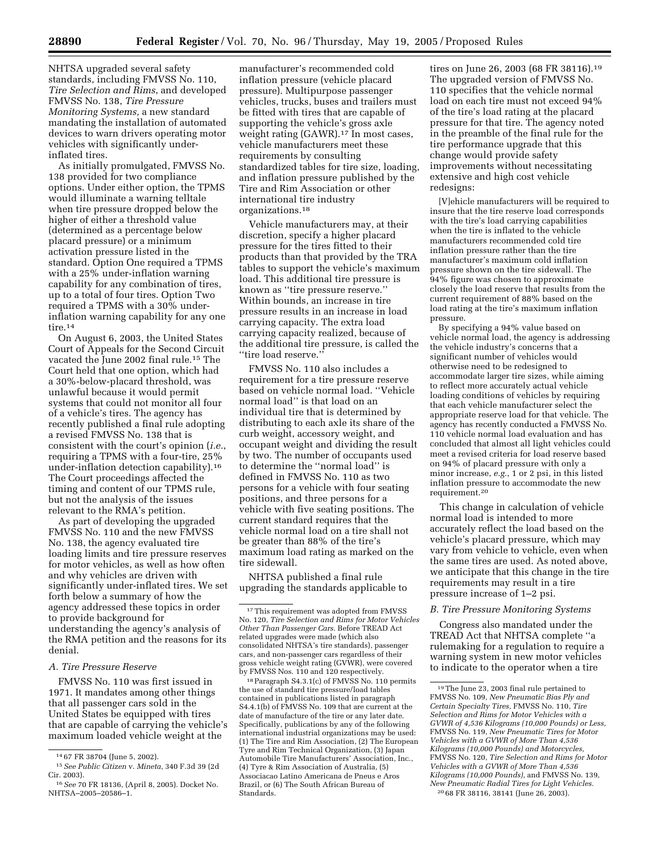NHTSA upgraded several safety

standards, including FMVSS No. 110, *Tire Selection and Rims*, and developed FMVSS No. 138, *Tire Pressure Monitoring Systems,* a new standard mandating the installation of automated devices to warn drivers operating motor vehicles with significantly underinflated tires.

As initially promulgated, FMVSS No. 138 provided for two compliance options. Under either option, the TPMS would illuminate a warning telltale when tire pressure dropped below the higher of either a threshold value (determined as a percentage below placard pressure) or a minimum activation pressure listed in the standard. Option One required a TPMS with a 25% under-inflation warning capability for any combination of tires, up to a total of four tires. Option Two required a TPMS with a 30% underinflation warning capability for any one tire.<sup>14</sup>

On August 6, 2003, the United States Court of Appeals for the Second Circuit vacated the June 2002 final rule.15 The Court held that one option, which had a 30%-below-placard threshold, was unlawful because it would permit systems that could not monitor all four of a vehicle's tires. The agency has recently published a final rule adopting a revised FMVSS No. 138 that is consistent with the court's opinion (*i.e.*, requiring a TPMS with a four-tire, 25% under-inflation detection capability).16 The Court proceedings affected the timing and content of our TPMS rule, but not the analysis of the issues relevant to the RMA's petition.

As part of developing the upgraded FMVSS No. 110 and the new FMVSS No. 138, the agency evaluated tire loading limits and tire pressure reserves for motor vehicles, as well as how often and why vehicles are driven with significantly under-inflated tires. We set forth below a summary of how the agency addressed these topics in order to provide background for understanding the agency's analysis of the RMA petition and the reasons for its denial.

### *A. Tire Pressure Reserve*

FMVSS No. 110 was first issued in 1971. It mandates among other things that all passenger cars sold in the United States be equipped with tires that are capable of carrying the vehicle's maximum loaded vehicle weight at the

manufacturer's recommended cold inflation pressure (vehicle placard pressure). Multipurpose passenger vehicles, trucks, buses and trailers must be fitted with tires that are capable of supporting the vehicle's gross axle weight rating (GAWR).<sup>17</sup> In most cases, vehicle manufacturers meet these requirements by consulting standardized tables for tire size, loading, and inflation pressure published by the Tire and Rim Association or other international tire industry organizations.18

Vehicle manufacturers may, at their discretion, specify a higher placard pressure for the tires fitted to their products than that provided by the TRA tables to support the vehicle's maximum load. This additional tire pressure is known as ''tire pressure reserve.'' Within bounds, an increase in tire pressure results in an increase in load carrying capacity. The extra load carrying capacity realized, because of the additional tire pressure, is called the ''tire load reserve.''

FMVSS No. 110 also includes a requirement for a tire pressure reserve based on vehicle normal load. ''Vehicle normal load'' is that load on an individual tire that is determined by distributing to each axle its share of the curb weight, accessory weight, and occupant weight and dividing the result by two. The number of occupants used to determine the ''normal load'' is defined in FMVSS No. 110 as two persons for a vehicle with four seating positions, and three persons for a vehicle with five seating positions. The current standard requires that the vehicle normal load on a tire shall not be greater than 88% of the tire's maximum load rating as marked on the tire sidewall.

NHTSA published a final rule upgrading the standards applicable to

18Paragraph S4.3.1(c) of FMVSS No. 110 permits the use of standard tire pressure/load tables contained in publications listed in paragraph S4.4.1(b) of FMVSS No. 109 that are current at the date of manufacture of the tire or any later date. Specifically, publications by any of the following international industrial organizations may be used: (1) The Tire and Rim Association, (2) The European Tyre and Rim Technical Organization, (3) Japan Automobile Tire Manufacturers' Association, Inc., (4) Tyre & Rim Association of Australia, (5) Associacao Latino Americana de Pneus e Aros Brazil, or (6) The South African Bureau of Standards.

tires on June 26, 2003 (68 FR 38116).19 The upgraded version of FMVSS No. 110 specifies that the vehicle normal load on each tire must not exceed 94% of the tire's load rating at the placard pressure for that tire. The agency noted in the preamble of the final rule for the tire performance upgrade that this change would provide safety improvements without necessitating extensive and high cost vehicle redesigns:

[V]ehicle manufacturers will be required to insure that the tire reserve load corresponds with the tire's load carrying capabilities when the tire is inflated to the vehicle manufacturers recommended cold tire inflation pressure rather than the tire manufacturer's maximum cold inflation pressure shown on the tire sidewall. The 94% figure was chosen to approximate closely the load reserve that results from the current requirement of 88% based on the load rating at the tire's maximum inflation pressure.

By specifying a 94% value based on vehicle normal load, the agency is addressing the vehicle industry's concerns that a significant number of vehicles would otherwise need to be redesigned to accommodate larger tire sizes, while aiming to reflect more accurately actual vehicle loading conditions of vehicles by requiring that each vehicle manufacturer select the appropriate reserve load for that vehicle. The agency has recently conducted a FMVSS No. 110 vehicle normal load evaluation and has concluded that almost all light vehicles could meet a revised criteria for load reserve based on 94% of placard pressure with only a minor increase, *e.g.*, 1 or 2 psi, in this listed inflation pressure to accommodate the new requirement.20

This change in calculation of vehicle normal load is intended to more accurately reflect the load based on the vehicle's placard pressure, which may vary from vehicle to vehicle, even when the same tires are used. As noted above, we anticipate that this change in the tire requirements may result in a tire pressure increase of 1–2 psi.

### *B. Tire Pressure Monitoring Systems*

Congress also mandated under the TREAD Act that NHTSA complete ''a rulemaking for a regulation to require a warning system in new motor vehicles to indicate to the operator when a tire

<sup>14</sup> 67 FR 38704 (June 5, 2002).

<sup>15</sup>*See Public Citizen* v. *Mineta,* 340 F.3d 39 (2d Cir. 2003).

<sup>16</sup>*See* 70 FR 18136, (April 8, 2005). Docket No. NHTSA–2005–20586–1.

<sup>17</sup>This requirement was adopted from FMVSS No. 120, *Tire Selection and Rims for Motor Vehicles Other Than Passenger Cars*. Before TREAD Act related upgrades were made (which also consolidated NHTSA's tire standards), passenger cars, and non-passenger cars regardless of their gross vehicle weight rating (GVWR), were covered by FMVSS Nos. 110 and 120 respectively.

<sup>19</sup>The June 23, 2003 final rule pertained to FMVSS No. 109, *New Pneumatic Bias Ply and Certain Specialty Tires,* FMVSS No. 110, *Tire Selection and Rims for Motor Vehicles with a GVWR of 4,536 Kilograms (10,000 Pounds) or Less,* FMVSS No. 119, *New Pneumatic Tires for Motor Vehicles with a GVWR of More Than 4,536 Kilograms (10,000 Pounds) and Motorcycles,* FMVSS No. 120, *Tire Selection and Rims for Motor Vehicles with a GVWR of More Than 4,536 Kilograms (10,000 Pounds),* and FMVSS No. 139, *New Pneumatic Radial Tires for Light Vehicles*. 20 68 FR 38116, 38141 (June 26, 2003).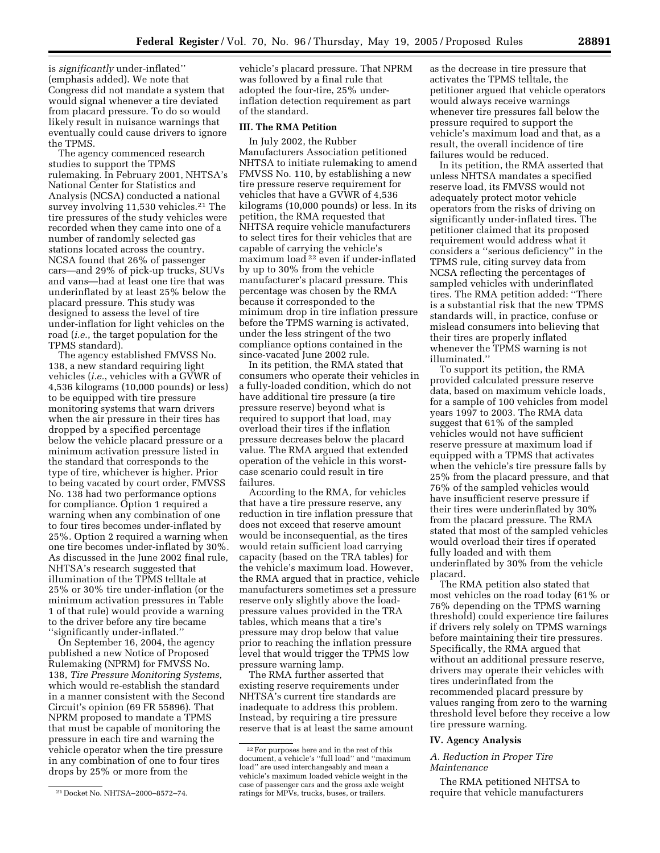is *significantly* under-inflated'' (emphasis added). We note that Congress did not mandate a system that would signal whenever a tire deviated from placard pressure. To do so would likely result in nuisance warnings that eventually could cause drivers to ignore the TPMS.

The agency commenced research studies to support the TPMS rulemaking. In February 2001, NHTSA's National Center for Statistics and Analysis (NCSA) conducted a national survey involving 11,530 vehicles.<sup>21</sup> The tire pressures of the study vehicles were recorded when they came into one of a number of randomly selected gas stations located across the country. NCSA found that 26% of passenger cars—and 29% of pick-up trucks, SUVs and vans—had at least one tire that was underinflated by at least 25% below the placard pressure. This study was designed to assess the level of tire under-inflation for light vehicles on the road (*i.e.*, the target population for the TPMS standard).

The agency established FMVSS No. 138, a new standard requiring light vehicles (*i.e.*, vehicles with a GVWR of 4,536 kilograms (10,000 pounds) or less) to be equipped with tire pressure monitoring systems that warn drivers when the air pressure in their tires has dropped by a specified percentage below the vehicle placard pressure or a minimum activation pressure listed in the standard that corresponds to the type of tire, whichever is higher. Prior to being vacated by court order, FMVSS No. 138 had two performance options for compliance. Option 1 required a warning when any combination of one to four tires becomes under-inflated by 25%. Option 2 required a warning when one tire becomes under-inflated by 30%. As discussed in the June 2002 final rule, NHTSA's research suggested that illumination of the TPMS telltale at 25% or 30% tire under-inflation (or the minimum activation pressures in Table 1 of that rule) would provide a warning to the driver before any tire became ''significantly under-inflated.''

On September 16, 2004, the agency published a new Notice of Proposed Rulemaking (NPRM) for FMVSS No. 138, *Tire Pressure Monitoring Systems,* which would re-establish the standard in a manner consistent with the Second Circuit's opinion (69 FR 55896). That NPRM proposed to mandate a TPMS that must be capable of monitoring the pressure in each tire and warning the vehicle operator when the tire pressure in any combination of one to four tires drops by 25% or more from the

vehicle's placard pressure. That NPRM was followed by a final rule that adopted the four-tire, 25% underinflation detection requirement as part of the standard.

## **III. The RMA Petition**

In July 2002, the Rubber Manufacturers Association petitioned NHTSA to initiate rulemaking to amend FMVSS No. 110, by establishing a new tire pressure reserve requirement for vehicles that have a GVWR of 4,536 kilograms (10,000 pounds) or less. In its petition, the RMA requested that NHTSA require vehicle manufacturers to select tires for their vehicles that are capable of carrying the vehicle's maximum load 22 even if under-inflated by up to 30% from the vehicle manufacturer's placard pressure. This percentage was chosen by the RMA because it corresponded to the minimum drop in tire inflation pressure before the TPMS warning is activated, under the less stringent of the two compliance options contained in the since-vacated June 2002 rule.

In its petition, the RMA stated that consumers who operate their vehicles in a fully-loaded condition, which do not have additional tire pressure (a tire pressure reserve) beyond what is required to support that load, may overload their tires if the inflation pressure decreases below the placard value. The RMA argued that extended operation of the vehicle in this worstcase scenario could result in tire failures.

According to the RMA, for vehicles that have a tire pressure reserve, any reduction in tire inflation pressure that does not exceed that reserve amount would be inconsequential, as the tires would retain sufficient load carrying capacity (based on the TRA tables) for the vehicle's maximum load. However, the RMA argued that in practice, vehicle manufacturers sometimes set a pressure reserve only slightly above the loadpressure values provided in the TRA tables, which means that a tire's pressure may drop below that value prior to reaching the inflation pressure level that would trigger the TPMS low pressure warning lamp.

The RMA further asserted that existing reserve requirements under NHTSA's current tire standards are inadequate to address this problem. Instead, by requiring a tire pressure reserve that is at least the same amount as the decrease in tire pressure that activates the TPMS telltale, the petitioner argued that vehicle operators would always receive warnings whenever tire pressures fall below the pressure required to support the vehicle's maximum load and that, as a result, the overall incidence of tire failures would be reduced.

In its petition, the RMA asserted that unless NHTSA mandates a specified reserve load, its FMVSS would not adequately protect motor vehicle operators from the risks of driving on significantly under-inflated tires. The petitioner claimed that its proposed requirement would address what it considers a ''serious deficiency'' in the TPMS rule, citing survey data from NCSA reflecting the percentages of sampled vehicles with underinflated tires. The RMA petition added: ''There is a substantial risk that the new TPMS standards will, in practice, confuse or mislead consumers into believing that their tires are properly inflated whenever the TPMS warning is not illuminated.''

To support its petition, the RMA provided calculated pressure reserve data, based on maximum vehicle loads, for a sample of 100 vehicles from model years 1997 to 2003. The RMA data suggest that 61% of the sampled vehicles would not have sufficient reserve pressure at maximum load if equipped with a TPMS that activates when the vehicle's tire pressure falls by 25% from the placard pressure, and that 76% of the sampled vehicles would have insufficient reserve pressure if their tires were underinflated by 30% from the placard pressure. The RMA stated that most of the sampled vehicles would overload their tires if operated fully loaded and with them underinflated by 30% from the vehicle placard.

The RMA petition also stated that most vehicles on the road today (61% or 76% depending on the TPMS warning threshold) could experience tire failures if drivers rely solely on TPMS warnings before maintaining their tire pressures. Specifically, the RMA argued that without an additional pressure reserve, drivers may operate their vehicles with tires underinflated from the recommended placard pressure by values ranging from zero to the warning threshold level before they receive a low tire pressure warning.

#### **IV. Agency Analysis**

## *A. Reduction in Proper Tire Maintenance*

The RMA petitioned NHTSA to require that vehicle manufacturers

<sup>21</sup> Docket No. NHTSA–2000–8572–74.

<sup>22</sup>For purposes here and in the rest of this document, a vehicle's ''full load'' and ''maximum load'' are used interchangeably and mean a vehicle's maximum loaded vehicle weight in the case of passenger cars and the gross axle weight ratings for MPVs, trucks, buses, or trailers.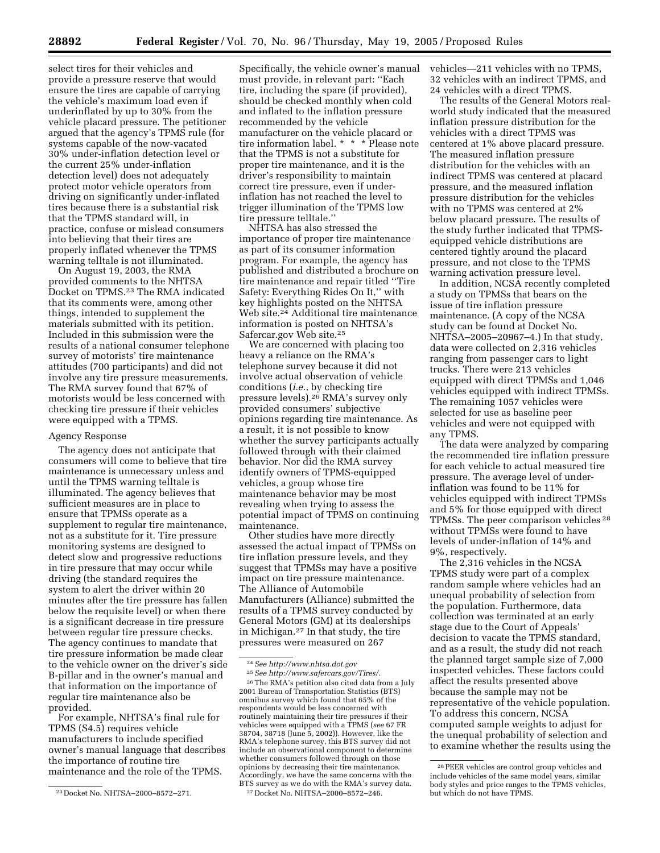select tires for their vehicles and provide a pressure reserve that would ensure the tires are capable of carrying the vehicle's maximum load even if underinflated by up to 30% from the vehicle placard pressure. The petitioner argued that the agency's TPMS rule (for systems capable of the now-vacated 30% under-inflation detection level or the current 25% under-inflation detection level) does not adequately protect motor vehicle operators from driving on significantly under-inflated tires because there is a substantial risk that the TPMS standard will, in practice, confuse or mislead consumers into believing that their tires are properly inflated whenever the TPMS warning telltale is not illuminated.

On August 19, 2003, the RMA provided comments to the NHTSA Docket on TPMS.23 The RMA indicated that its comments were, among other things, intended to supplement the materials submitted with its petition. Included in this submission were the results of a national consumer telephone survey of motorists' tire maintenance attitudes (700 participants) and did not involve any tire pressure measurements. The RMA survey found that 67% of motorists would be less concerned with checking tire pressure if their vehicles were equipped with a TPMS.

#### Agency Response

The agency does not anticipate that consumers will come to believe that tire maintenance is unnecessary unless and until the TPMS warning telltale is illuminated. The agency believes that sufficient measures are in place to ensure that TPMSs operate as a supplement to regular tire maintenance, not as a substitute for it. Tire pressure monitoring systems are designed to detect slow and progressive reductions in tire pressure that may occur while driving (the standard requires the system to alert the driver within 20 minutes after the tire pressure has fallen below the requisite level) or when there is a significant decrease in tire pressure between regular tire pressure checks. The agency continues to mandate that tire pressure information be made clear to the vehicle owner on the driver's side B-pillar and in the owner's manual and that information on the importance of regular tire maintenance also be provided.

For example, NHTSA's final rule for TPMS (S4.5) requires vehicle manufacturers to include specified owner's manual language that describes the importance of routine tire maintenance and the role of the TPMS.

Specifically, the vehicle owner's manual must provide, in relevant part: ''Each tire, including the spare (if provided), should be checked monthly when cold and inflated to the inflation pressure recommended by the vehicle manufacturer on the vehicle placard or tire information label. \* \* \* Please note that the TPMS is not a substitute for proper tire maintenance, and it is the driver's responsibility to maintain correct tire pressure, even if underinflation has not reached the level to trigger illumination of the TPMS low tire pressure telltale.''

NHTSA has also stressed the importance of proper tire maintenance as part of its consumer information program. For example, the agency has published and distributed a brochure on tire maintenance and repair titled ''Tire Safety: Everything Rides On It,'' with key highlights posted on the NHTSA Web site.<sup>24</sup> Additional tire maintenance information is posted on NHTSA's Safercar.gov Web site.25

We are concerned with placing too heavy a reliance on the RMA's telephone survey because it did not involve actual observation of vehicle conditions (*i.e.*, by checking tire pressure levels).26 RMA's survey only provided consumers' subjective opinions regarding tire maintenance. As a result, it is not possible to know whether the survey participants actually followed through with their claimed behavior. Nor did the RMA survey identify owners of TPMS-equipped vehicles, a group whose tire maintenance behavior may be most revealing when trying to assess the potential impact of TPMS on continuing maintenance.

Other studies have more directly assessed the actual impact of TPMSs on tire inflation pressure levels, and they suggest that TPMSs may have a positive impact on tire pressure maintenance. The Alliance of Automobile Manufacturers (Alliance) submitted the results of a TPMS survey conducted by General Motors (GM) at its dealerships in Michigan.27 In that study, the tire pressures were measured on 267

vehicles—211 vehicles with no TPMS, 32 vehicles with an indirect TPMS, and 24 vehicles with a direct TPMS.

The results of the General Motors realworld study indicated that the measured inflation pressure distribution for the vehicles with a direct TPMS was centered at 1% above placard pressure. The measured inflation pressure distribution for the vehicles with an indirect TPMS was centered at placard pressure, and the measured inflation pressure distribution for the vehicles with no TPMS was centered at 2% below placard pressure. The results of the study further indicated that TPMSequipped vehicle distributions are centered tightly around the placard pressure, and not close to the TPMS warning activation pressure level.

In addition, NCSA recently completed a study on TPMSs that bears on the issue of tire inflation pressure maintenance. (A copy of the NCSA study can be found at Docket No. NHTSA–2005–20967–4.) In that study, data were collected on 2,316 vehicles ranging from passenger cars to light trucks. There were 213 vehicles equipped with direct TPMSs and 1,046 vehicles equipped with indirect TPMSs. The remaining 1057 vehicles were selected for use as baseline peer vehicles and were not equipped with any TPMS.

The data were analyzed by comparing the recommended tire inflation pressure for each vehicle to actual measured tire pressure. The average level of underinflation was found to be 11% for vehicles equipped with indirect TPMSs and 5% for those equipped with direct TPMSs. The peer comparison vehicles 28 without TPMSs were found to have levels of under-inflation of 14% and 9%, respectively.

The 2,316 vehicles in the NCSA TPMS study were part of a complex random sample where vehicles had an unequal probability of selection from the population. Furthermore, data collection was terminated at an early stage due to the Court of Appeals' decision to vacate the TPMS standard, and as a result, the study did not reach the planned target sample size of 7,000 inspected vehicles. These factors could affect the results presented above because the sample may not be representative of the vehicle population. To address this concern, NCSA computed sample weights to adjust for the unequal probability of selection and to examine whether the results using the

<sup>23</sup> Docket No. NHTSA–2000–8572–271.

<sup>24</sup>*See http://www.nhtsa.dot.gov*

<sup>25</sup>*See http://www.safercars.gov/Tires/.* 26The RMA's petition also cited data from a July 2001 Bureau of Transportation Statistics (BTS) omnibus survey which found that 65% of the respondents would be less concerned with routinely maintaining their tire pressures if their vehicles were equipped with a TPMS (*see* 67 FR 38704, 38718 (June 5, 2002)). However, like the RMA's telephone survey, this BTS survey did not include an observational component to determine whether consumers followed through on those opinions by decreasing their tire maintenance. Accordingly, we have the same concerns with the BTS survey as we do with the RMA's survey data. 27 Docket No. NHTSA–2000–8572–246.

<sup>28</sup>PEER vehicles are control group vehicles and include vehicles of the same model years, similar body styles and price ranges to the TPMS vehicles, but which do not have TPMS.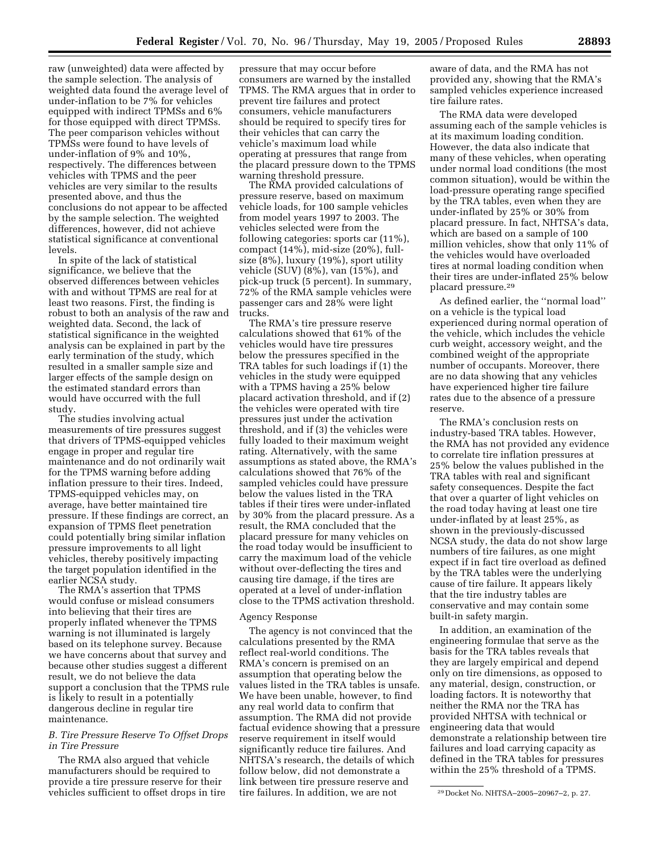raw (unweighted) data were affected by the sample selection. The analysis of weighted data found the average level of under-inflation to be 7% for vehicles equipped with indirect TPMSs and 6% for those equipped with direct TPMSs. The peer comparison vehicles without TPMSs were found to have levels of under-inflation of 9% and 10%, respectively. The differences between vehicles with TPMS and the peer vehicles are very similar to the results presented above, and thus the conclusions do not appear to be affected by the sample selection. The weighted differences, however, did not achieve statistical significance at conventional levels.

In spite of the lack of statistical significance, we believe that the observed differences between vehicles with and without TPMS are real for at least two reasons. First, the finding is robust to both an analysis of the raw and weighted data. Second, the lack of statistical significance in the weighted analysis can be explained in part by the early termination of the study, which resulted in a smaller sample size and larger effects of the sample design on the estimated standard errors than would have occurred with the full study.

The studies involving actual measurements of tire pressures suggest that drivers of TPMS-equipped vehicles engage in proper and regular tire maintenance and do not ordinarily wait for the TPMS warning before adding inflation pressure to their tires. Indeed, TPMS-equipped vehicles may, on average, have better maintained tire pressure. If these findings are correct, an expansion of TPMS fleet penetration could potentially bring similar inflation pressure improvements to all light vehicles, thereby positively impacting the target population identified in the earlier NCSA study.

The RMA's assertion that TPMS would confuse or mislead consumers into believing that their tires are properly inflated whenever the TPMS warning is not illuminated is largely based on its telephone survey. Because we have concerns about that survey and because other studies suggest a different result, we do not believe the data support a conclusion that the TPMS rule is likely to result in a potentially dangerous decline in regular tire maintenance.

## *B. Tire Pressure Reserve To Offset Drops in Tire Pressure*

The RMA also argued that vehicle manufacturers should be required to provide a tire pressure reserve for their vehicles sufficient to offset drops in tire

pressure that may occur before consumers are warned by the installed TPMS. The RMA argues that in order to prevent tire failures and protect consumers, vehicle manufacturers should be required to specify tires for their vehicles that can carry the vehicle's maximum load while operating at pressures that range from the placard pressure down to the TPMS warning threshold pressure.

The RMA provided calculations of pressure reserve, based on maximum vehicle loads, for 100 sample vehicles from model years 1997 to 2003. The vehicles selected were from the following categories: sports car (11%), compact (14%), mid-size (20%), fullsize (8%), luxury (19%), sport utility vehicle (SUV) (8%), van (15%), and pick-up truck (5 percent). In summary, 72% of the RMA sample vehicles were passenger cars and 28% were light trucks.

The RMA's tire pressure reserve calculations showed that 61% of the vehicles would have tire pressures below the pressures specified in the TRA tables for such loadings if (1) the vehicles in the study were equipped with a TPMS having a 25% below placard activation threshold, and if (2) the vehicles were operated with tire pressures just under the activation threshold, and if (3) the vehicles were fully loaded to their maximum weight rating. Alternatively, with the same assumptions as stated above, the RMA's calculations showed that 76% of the sampled vehicles could have pressure below the values listed in the TRA tables if their tires were under-inflated by 30% from the placard pressure. As a result, the RMA concluded that the placard pressure for many vehicles on the road today would be insufficient to carry the maximum load of the vehicle without over-deflecting the tires and causing tire damage, if the tires are operated at a level of under-inflation close to the TPMS activation threshold.

### Agency Response

The agency is not convinced that the calculations presented by the RMA reflect real-world conditions. The RMA's concern is premised on an assumption that operating below the values listed in the TRA tables is unsafe. We have been unable, however, to find any real world data to confirm that assumption. The RMA did not provide factual evidence showing that a pressure reserve requirement in itself would significantly reduce tire failures. And NHTSA's research, the details of which follow below, did not demonstrate a link between tire pressure reserve and tire failures. In addition, we are not

aware of data, and the RMA has not provided any, showing that the RMA's sampled vehicles experience increased tire failure rates.

The RMA data were developed assuming each of the sample vehicles is at its maximum loading condition. However, the data also indicate that many of these vehicles, when operating under normal load conditions (the most common situation), would be within the load-pressure operating range specified by the TRA tables, even when they are under-inflated by 25% or 30% from placard pressure. In fact, NHTSA's data, which are based on a sample of 100 million vehicles, show that only 11% of the vehicles would have overloaded tires at normal loading condition when their tires are under-inflated 25% below placard pressure.29

As defined earlier, the ''normal load'' on a vehicle is the typical load experienced during normal operation of the vehicle, which includes the vehicle curb weight, accessory weight, and the combined weight of the appropriate number of occupants. Moreover, there are no data showing that any vehicles have experienced higher tire failure rates due to the absence of a pressure reserve.

The RMA's conclusion rests on industry-based TRA tables. However, the RMA has not provided any evidence to correlate tire inflation pressures at 25% below the values published in the TRA tables with real and significant safety consequences. Despite the fact that over a quarter of light vehicles on the road today having at least one tire under-inflated by at least 25%, as shown in the previously-discussed NCSA study, the data do not show large numbers of tire failures, as one might expect if in fact tire overload as defined by the TRA tables were the underlying cause of tire failure. It appears likely that the tire industry tables are conservative and may contain some built-in safety margin.

In addition, an examination of the engineering formulae that serve as the basis for the TRA tables reveals that they are largely empirical and depend only on tire dimensions, as opposed to any material, design, construction, or loading factors. It is noteworthy that neither the RMA nor the TRA has provided NHTSA with technical or engineering data that would demonstrate a relationship between tire failures and load carrying capacity as defined in the TRA tables for pressures within the 25% threshold of a TPMS.

<sup>29</sup> Docket No. NHTSA–2005–20967–2, p. 27.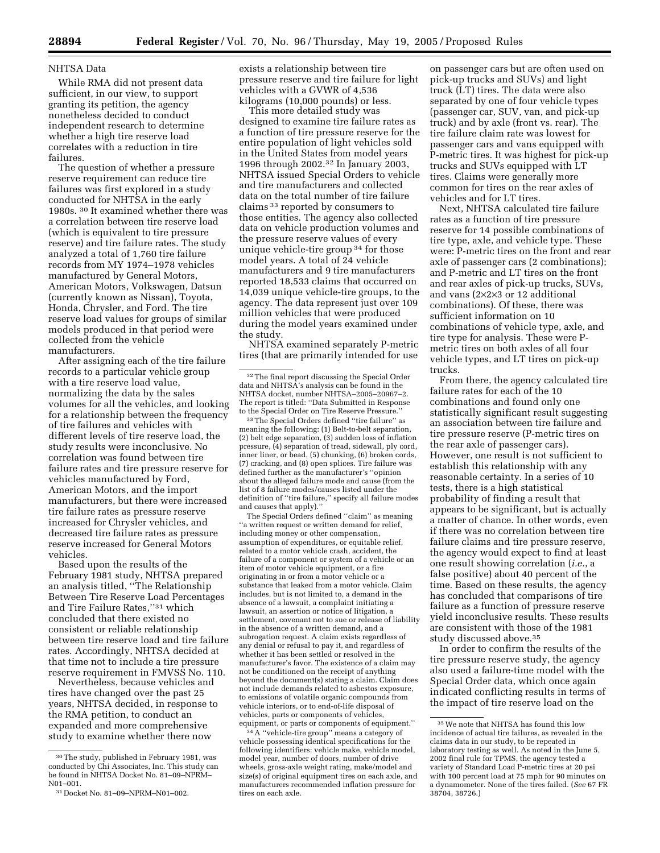### NHTSA Data

While RMA did not present data sufficient, in our view, to support granting its petition, the agency nonetheless decided to conduct independent research to determine whether a high tire reserve load correlates with a reduction in tire failures.

The question of whether a pressure reserve requirement can reduce tire failures was first explored in a study conducted for NHTSA in the early 1980s. 30 It examined whether there was a correlation between tire reserve load (which is equivalent to tire pressure reserve) and tire failure rates. The study analyzed a total of 1,760 tire failure records from MY 1974–1978 vehicles manufactured by General Motors, American Motors, Volkswagen, Datsun (currently known as Nissan), Toyota, Honda, Chrysler, and Ford. The tire reserve load values for groups of similar models produced in that period were collected from the vehicle manufacturers.

After assigning each of the tire failure records to a particular vehicle group with a tire reserve load value, normalizing the data by the sales volumes for all the vehicles, and looking for a relationship between the frequency of tire failures and vehicles with different levels of tire reserve load, the study results were inconclusive. No correlation was found between tire failure rates and tire pressure reserve for vehicles manufactured by Ford, American Motors, and the import manufacturers, but there were increased tire failure rates as pressure reserve increased for Chrysler vehicles, and decreased tire failure rates as pressure reserve increased for General Motors vehicles.

Based upon the results of the February 1981 study, NHTSA prepared an analysis titled, ''The Relationship Between Tire Reserve Load Percentages and Tire Failure Rates,''31 which concluded that there existed no consistent or reliable relationship between tire reserve load and tire failure rates. Accordingly, NHTSA decided at that time not to include a tire pressure reserve requirement in FMVSS No. 110.

Nevertheless, because vehicles and tires have changed over the past 25 years, NHTSA decided, in response to the RMA petition, to conduct an expanded and more comprehensive study to examine whether there now

exists a relationship between tire pressure reserve and tire failure for light vehicles with a GVWR of 4,536 kilograms (10,000 pounds) or less.

This more detailed study was designed to examine tire failure rates as a function of tire pressure reserve for the entire population of light vehicles sold in the United States from model years 1996 through 2002.32 In January 2003, NHTSA issued Special Orders to vehicle and tire manufacturers and collected data on the total number of tire failure claims 33 reported by consumers to those entities. The agency also collected data on vehicle production volumes and the pressure reserve values of every unique vehicle-tire group 34 for those model years. A total of 24 vehicle manufacturers and 9 tire manufacturers reported 18,533 claims that occurred on 14,039 unique vehicle-tire groups, to the agency. The data represent just over 109 million vehicles that were produced during the model years examined under the study.

NHTSA examined separately P-metric tires (that are primarily intended for use

The Special Orders defined ''claim'' as meaning ''a written request or written demand for relief, including money or other compensation, assumption of expenditures, or equitable relief, related to a motor vehicle crash, accident, the failure of a component or system of a vehicle or an item of motor vehicle equipment, or a fire originating in or from a motor vehicle or a substance that leaked from a motor vehicle. Claim includes, but is not limited to, a demand in the absence of a lawsuit, a complaint initiating a lawsuit, an assertion or notice of litigation, a settlement, covenant not to sue or release of liability in the absence of a written demand, and a subrogation request. A claim exists regardless of any denial or refusal to pay it, and regardless of whether it has been settled or resolved in the manufacturer's favor. The existence of a claim may not be conditioned on the receipt of anything beyond the document(s) stating a claim. Claim does not include demands related to asbestos exposure, to emissions of volatile organic compounds from vehicle interiors, or to end-of-life disposal of vehicles, parts or components of vehicles, equipment, or parts or components of equipment.''

34A ''vehicle-tire group'' means a category of vehicle possessing identical specifications for the following identifiers: vehicle make, vehicle model, model year, number of doors, number of drive wheels, gross-axle weight rating, make/model and size(s) of original equipment tires on each axle, and manufacturers recommended inflation pressure for tires on each axle.

on passenger cars but are often used on pick-up trucks and SUVs) and light truck (LT) tires. The data were also separated by one of four vehicle types (passenger car, SUV, van, and pick-up truck) and by axle (front vs. rear). The tire failure claim rate was lowest for passenger cars and vans equipped with P-metric tires. It was highest for pick-up trucks and SUVs equipped with LT tires. Claims were generally more common for tires on the rear axles of vehicles and for LT tires.

Next, NHTSA calculated tire failure rates as a function of tire pressure reserve for 14 possible combinations of tire type, axle, and vehicle type. These were: P-metric tires on the front and rear axle of passenger cars (2 combinations); and P-metric and LT tires on the front and rear axles of pick-up trucks, SUVs, and vans (2×2×3 or 12 additional combinations). Of these, there was sufficient information on 10 combinations of vehicle type, axle, and tire type for analysis. These were Pmetric tires on both axles of all four vehicle types, and LT tires on pick-up trucks.

From there, the agency calculated tire failure rates for each of the 10 combinations and found only one statistically significant result suggesting an association between tire failure and tire pressure reserve (P-metric tires on the rear axle of passenger cars). However, one result is not sufficient to establish this relationship with any reasonable certainty. In a series of 10 tests, there is a high statistical probability of finding a result that appears to be significant, but is actually a matter of chance. In other words, even if there was no correlation between tire failure claims and tire pressure reserve, the agency would expect to find at least one result showing correlation (*i.e.*, a false positive) about 40 percent of the time. Based on these results, the agency has concluded that comparisons of tire failure as a function of pressure reserve yield inconclusive results. These results are consistent with those of the 1981 study discussed above.35

In order to confirm the results of the tire pressure reserve study, the agency also used a failure-time model with the Special Order data, which once again indicated conflicting results in terms of the impact of tire reserve load on the

<sup>30</sup>The study, published in February 1981, was conducted by Chi Associates, Inc. This study can be found in NHTSA Docket No. 81–09–NPRM– N01–001.

<sup>31</sup> Docket No. 81–09–NPRM–N01–002.

 $^{\rm 32}$  The final report discussing the Special Order data and NHTSA's analysis can be found in the NHTSA docket, number NHTSA–2005–20967–2. The report is titled: ''Data Submitted in Response to the Special Order on Tire Reserve Pressure.''

<sup>33</sup>The Special Orders defined ''tire failure'' as meaning the following: (1) Belt-to-belt separation, (2) belt edge separation, (3) sudden loss of inflation pressure, (4) separation of tread, sidewall, ply cord, inner liner, or bead, (5) chunking, (6) broken cords, (7) cracking, and (8) open splices. Tire failure was defined further as the manufacturer's ''opinion about the alleged failure mode and cause (from the list of 8 failure modes/causes listed under the definition of ''tire failure,'' specify all failure modes and causes that apply).''

<sup>35</sup>We note that NHTSA has found this low incidence of actual tire failures, as revealed in the claims data in our study, to be repeated in laboratory testing as well. As noted in the June 5, 2002 final rule for TPMS, the agency tested a variety of Standard Load P-metric tires at 20 psi with 100 percent load at 75 mph for 90 minutes on a dynamometer. None of the tires failed. (*See* 67 FR 38704, 38726.)